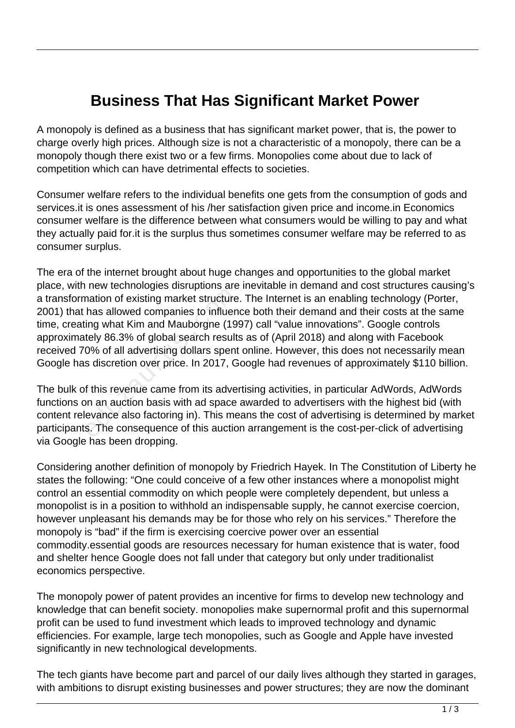## **Business That Has Significant Market Power**

A monopoly is defined as a business that has significant market power, that is, the power to charge overly high prices. Although size is not a characteristic of a monopoly, there can be a monopoly though there exist two or a few firms. Monopolies come about due to lack of competition which can have detrimental effects to societies.

Consumer welfare refers to the individual benefits one gets from the consumption of gods and services.it is ones assessment of his /her satisfaction given price and income.in Economics consumer welfare is the difference between what consumers would be willing to pay and what they actually paid for.it is the surplus thus sometimes consumer welfare may be referred to as consumer surplus.

The era of the internet brought about huge changes and opportunities to the global market place, with new technologies disruptions are inevitable in demand and cost structures causing's a transformation of existing market structure. The Internet is an enabling technology (Porter, 2001) that has allowed companies to influence both their demand and their costs at the same time, creating what Kim and Mauborgne (1997) call "value innovations". Google controls approximately 86.3% of global search results as of (April 2018) and along with Facebook received 70% of all advertising dollars spent online. However, this does not necessarily mean Google has discretion over price. In 2017, Google had revenues of approximately \$110 billion. nation of existing market structure<br>has allowed companies to influen<br>ing what Kim and Mauborgne (19<br>tely 86.3% of global search result<br>0% of all advertising dollars spent<br>s discretion over price. In 2017, G<br>f this revenue

The bulk of this revenue came from its advertising activities, in particular AdWords, AdWords functions on an auction basis with ad space awarded to advertisers with the highest bid (with content relevance also factoring in). This means the cost of advertising is determined by market participants. The consequence of this auction arrangement is the cost-per-click of advertising via Google has been dropping.

Considering another definition of monopoly by Friedrich Hayek. In The Constitution of Liberty he states the following: "One could conceive of a few other instances where a monopolist might control an essential commodity on which people were completely dependent, but unless a monopolist is in a position to withhold an indispensable supply, he cannot exercise coercion, however unpleasant his demands may be for those who rely on his services." Therefore the monopoly is "bad" if the firm is exercising coercive power over an essential commodity.essential goods are resources necessary for human existence that is water, food and shelter hence Google does not fall under that category but only under traditionalist economics perspective.

The monopoly power of patent provides an incentive for firms to develop new technology and knowledge that can benefit society. monopolies make supernormal profit and this supernormal profit can be used to fund investment which leads to improved technology and dynamic efficiencies. For example, large tech monopolies, such as Google and Apple have invested significantly in new technological developments.

The tech giants have become part and parcel of our daily lives although they started in garages, with ambitions to disrupt existing businesses and power structures; they are now the dominant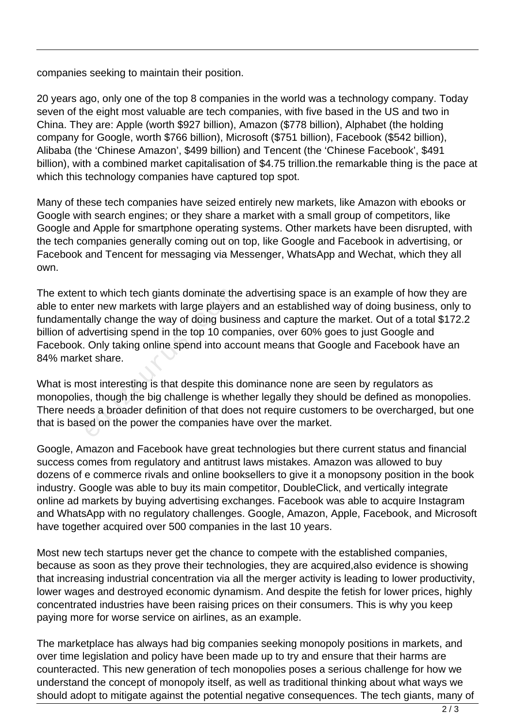companies seeking to maintain their position.

20 years ago, only one of the top 8 companies in the world was a technology company. Today seven of the eight most valuable are tech companies, with five based in the US and two in China. They are: Apple (worth \$927 billion), Amazon (\$778 billion), Alphabet (the holding company for Google, worth \$766 billion), Microsoft (\$751 billion), Facebook (\$542 billion), Alibaba (the 'Chinese Amazon', \$499 billion) and Tencent (the 'Chinese Facebook', \$491 billion), with a combined market capitalisation of \$4.75 trillion.the remarkable thing is the pace at which this technology companies have captured top spot.

Many of these tech companies have seized entirely new markets, like Amazon with ebooks or Google with search engines; or they share a market with a small group of competitors, like Google and Apple for smartphone operating systems. Other markets have been disrupted, with the tech companies generally coming out on top, like Google and Facebook in advertising, or Facebook and Tencent for messaging via Messenger, WhatsApp and Wechat, which they all own.

The extent to which tech giants dominate the advertising space is an example of how they are able to enter new markets with large players and an established way of doing business, only to fundamentally change the way of doing business and capture the market. Out of a total \$172.2 billion of advertising spend in the top 10 companies, over 60% goes to just Google and Facebook. Only taking online spend into account means that Google and Facebook have an 84% market share. the visible to which tech giants dominate the<br>ter new markets with large players<br>tally change the way of doing busit<br>dvertising spend in the top 10 com<br>Only taking online spend into acc<br>et share.<br>ost interesting is that de

What is most interesting is that despite this dominance none are seen by regulators as monopolies, though the big challenge is whether legally they should be defined as monopolies. There needs a broader definition of that does not require customers to be overcharged, but one that is based on the power the companies have over the market.

Google, Amazon and Facebook have great technologies but there current status and financial success comes from regulatory and antitrust laws mistakes. Amazon was allowed to buy dozens of e commerce rivals and online booksellers to give it a monopsony position in the book industry. Google was able to buy its main competitor, DoubleClick, and vertically integrate online ad markets by buying advertising exchanges. Facebook was able to acquire Instagram and WhatsApp with no regulatory challenges. Google, Amazon, Apple, Facebook, and Microsoft have together acquired over 500 companies in the last 10 years.

Most new tech startups never get the chance to compete with the established companies, because as soon as they prove their technologies, they are acquired,also evidence is showing that increasing industrial concentration via all the merger activity is leading to lower productivity, lower wages and destroyed economic dynamism. And despite the fetish for lower prices, highly concentrated industries have been raising prices on their consumers. This is why you keep paying more for worse service on airlines, as an example.

The marketplace has always had big companies seeking monopoly positions in markets, and over time legislation and policy have been made up to try and ensure that their harms are counteracted. This new generation of tech monopolies poses a serious challenge for how we understand the concept of monopoly itself, as well as traditional thinking about what ways we should adopt to mitigate against the potential negative consequences. The tech giants, many of